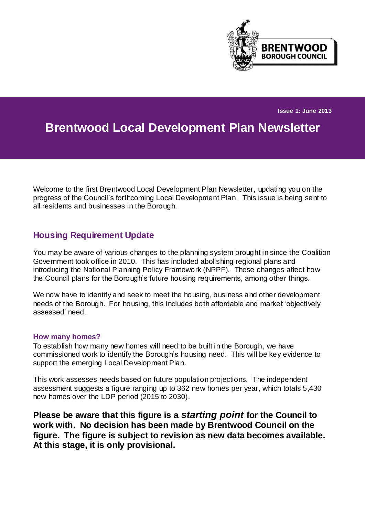

**Issue 1: June 2013**

# **Brentwood Local Development Plan Newsletter**

Welcome to the first Brentwood Local Development Plan Newsletter, updating you on the progress of the Council's forthcoming Local Development Plan. This issue is being sent to all residents and businesses in the Borough.

## **Housing Requirement Update**

You may be aware of various changes to the planning system brought in since the Coalition Government took office in 2010. This has included abolishing regional plans and introducing the National Planning Policy Framework (NPPF). These changes affect how the Council plans for the Borough's future housing requirements, among other things.

We now have to identify and seek to meet the housing, business and other development needs of the Borough. For housing, this includes both affordable and market 'objectively assessed' need.

#### **How many homes?**

To establish how many new homes will need to be built in the Borough, we have commissioned work to identify the Borough's housing need. This will be key evidence to support the emerging Local Development Plan.

This work assesses needs based on future population projections. The independent assessment suggests a figure ranging up to 362 new homes per year, which totals 5,430 new homes over the LDP period (2015 to 2030).

**Please be aware that this figure is a** *starting point* **for the Council to work with. No decision has been made by Brentwood Council on the figure. The figure is subject to revision as new data becomes available. At this stage, it is only provisional.**